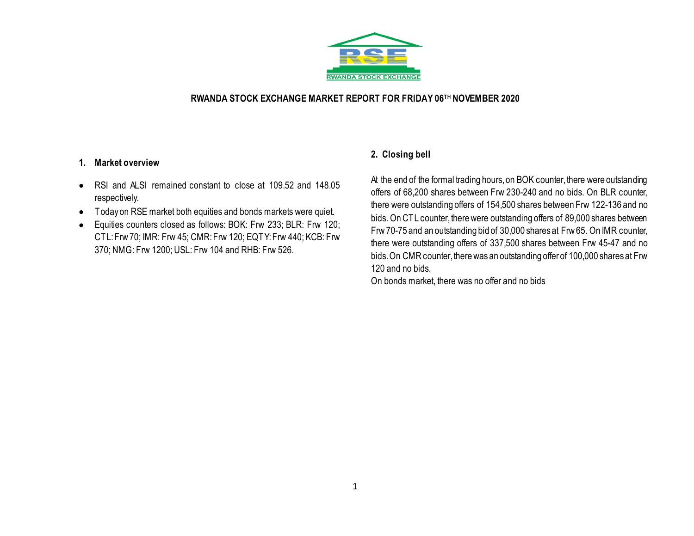

### **RWANDA STOCK EXCHANGE MARKET REPORT FOR FRIDAY 06TH NOVEMBER 2020**

#### **1. Market overview**

- RSI and ALSI remained constant to close at 109.52 and 148.05 respectively.
- Today on RSE market both equities and bonds markets were quiet.
- Equities counters closed as follows: BOK: Frw 233; BLR: Frw 120; CTL: Frw 70; IMR: Frw 45; CMR: Frw 120; EQTY: Frw 440; KCB: Frw 370; NMG: Frw 1200; USL: Frw 104 and RHB: Frw 526.

# **2. Closing bell**

At the end of the formal trading hours, on BOK counter, there were outstanding offers of 68,200 shares between Frw 230-240 and no bids. On BLR counter, there were outstanding offers of 154,500 shares between Frw 122-136 and no bids. On CTL counter, there were outstanding offers of 89,000 shares between Frw 70-75 and an outstanding bid of 30,000 shares at Frw 65. On IMR counter, there were outstanding offers of 337,500 shares between Frw 45-47 and no bids. On CMR counter, there was an outstanding offer of 100,000 shares at Frw 120 and no bids.

On bonds market, there was no offer and no bids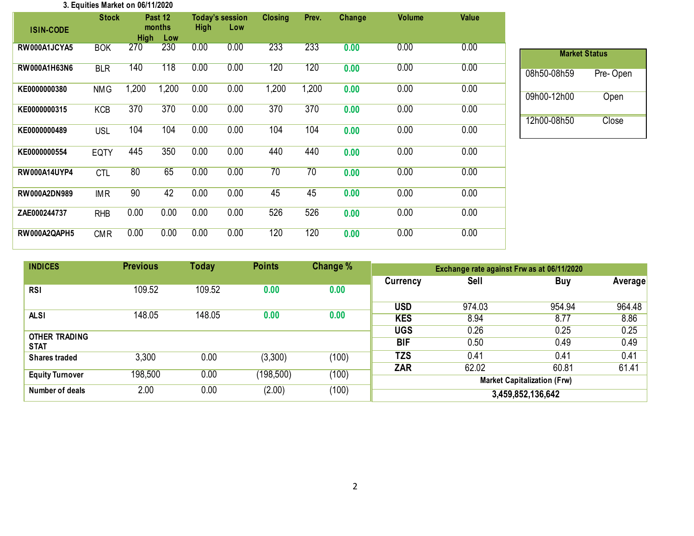#### **3. Equities Market on 06/11/2020**

|                     | <b>Stock</b> |             | Past 12<br>months | <b>High</b> | <b>Today's session</b><br>Low | <b>Closing</b> | Prev. | Change | <b>Volume</b> | <b>Value</b> |
|---------------------|--------------|-------------|-------------------|-------------|-------------------------------|----------------|-------|--------|---------------|--------------|
| <b>ISIN-CODE</b>    |              | <b>High</b> | Low               |             |                               |                |       |        |               |              |
| RW000A1JCYA5        | <b>BOK</b>   | 270         | 230               | 0.00        | 0.00                          | 233            | 233   | 0.00   | 0.00          | 0.00         |
| RW000A1H63N6        | <b>BLR</b>   | 140         | 118               | 0.00        | 0.00                          | 120            | 120   | 0.00   | 0.00          | 0.00         |
| KE0000000380        | <b>NMG</b>   | 1,200       | 1,200             | 0.00        | 0.00                          | 1,200          | 1,200 | 0.00   | 0.00          | 0.00         |
| KE0000000315        | <b>KCB</b>   | 370         | 370               | 0.00        | 0.00                          | 370            | 370   | 0.00   | 0.00          | 0.00         |
| KE0000000489        | <b>USL</b>   | 104         | 104               | 0.00        | 0.00                          | 104            | 104   | 0.00   | 0.00          | 0.00         |
| KE0000000554        | <b>EQTY</b>  | 445         | 350               | 0.00        | 0.00                          | 440            | 440   | 0.00   | 0.00          | 0.00         |
| <b>RW000A14UYP4</b> | <b>CTL</b>   | 80          | 65                | 0.00        | 0.00                          | 70             | 70    | 0.00   | 0.00          | 0.00         |
| <b>RW000A2DN989</b> | <b>IMR</b>   | 90          | 42                | 0.00        | 0.00                          | 45             | 45    | 0.00   | 0.00          | 0.00         |
| ZAE000244737        | <b>RHB</b>   | 0.00        | 0.00              | 0.00        | 0.00                          | 526            | 526   | 0.00   | 0.00          | 0.00         |
| RW000A2QAPH5        | <b>CMR</b>   | 0.00        | 0.00              | 0.00        | 0.00                          | 120            | 120   | 0.00   | 0.00          | 0.00         |

| <b>Market Status</b> |          |
|----------------------|----------|
| 08h50-08h59          | Pre-Open |
| 09h00-12h00          | Open     |
| 12h00-08h50          | Close    |

| <b>INDICES</b>                      | <b>Previous</b> | Today  | <b>Points</b> | Change % | Exchange rate against Frw as at 06/11/2020 |        |            |                |  |
|-------------------------------------|-----------------|--------|---------------|----------|--------------------------------------------|--------|------------|----------------|--|
|                                     |                 |        |               |          | Currency                                   | Sell   | <b>Buy</b> | <b>Average</b> |  |
| <b>RSI</b>                          | 109.52          | 109.52 | 0.00          | 0.00     |                                            |        |            |                |  |
|                                     |                 |        |               |          | <b>USD</b>                                 | 974.03 | 954.94     | 964.48         |  |
| <b>ALSI</b>                         | 148.05          | 148.05 | 0.00<br>0.00  |          | <b>KES</b>                                 | 8.94   | 8.77       | 8.86           |  |
|                                     |                 |        |               |          | <b>UGS</b>                                 | 0.26   | 0.25       | 0.25           |  |
| <b>OTHER TRADING</b><br><b>STAT</b> |                 |        |               |          | <b>BIF</b>                                 | 0.50   | 0.49       | 0.49           |  |
| <b>Shares traded</b>                | 3,300           | 0.00   | (3,300)       | (100)    | TZS                                        | 0.41   | 0.41       | 0.41           |  |
|                                     |                 |        |               |          | <b>ZAR</b>                                 | 62.02  | 60.81      | 61.41          |  |
| <b>Equity Turnover</b>              | 198,500         | 0.00   | (198, 500)    | (100)    | <b>Market Capitalization (Frw)</b>         |        |            |                |  |
| Number of deals                     | 2.00            | 0.00   | (2.00)        | (100)    | 3,459,852,136,642                          |        |            |                |  |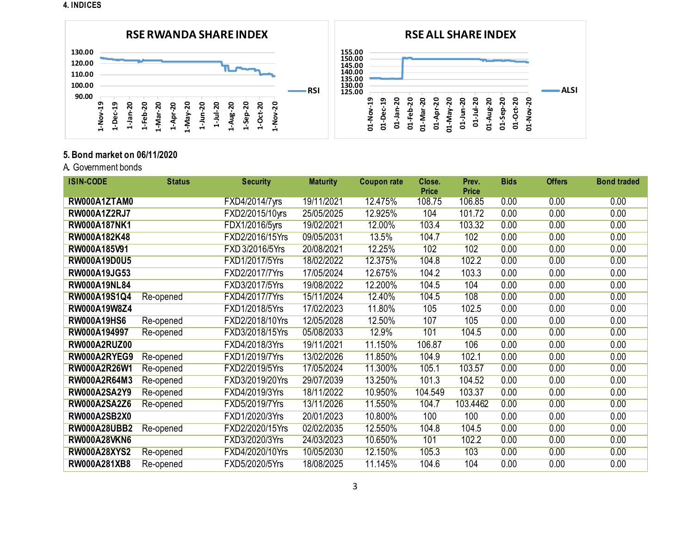**4. INDICES**



## **5. Bond market on 06/11/2020**

A**.** Government bonds

| <b>ISIN-CODE</b>    | <b>Status</b> | <b>Security</b> | <b>Maturity</b> | <b>Coupon rate</b> | Close.                 | Prev.<br><b>Price</b> | <b>Bids</b> | <b>Offers</b> | <b>Bond traded</b> |
|---------------------|---------------|-----------------|-----------------|--------------------|------------------------|-----------------------|-------------|---------------|--------------------|
| RW000A1ZTAM0        |               | FXD4/2014/7yrs  | 19/11/2021      | 12.475%            | <b>Price</b><br>108.75 | 106.85                | 0.00        | 0.00          | 0.00               |
|                     |               |                 |                 |                    |                        |                       |             |               |                    |
| <b>RW000A1Z2RJ7</b> |               | FXD2/2015/10yrs | 25/05/2025      | 12.925%            | 104                    | 101.72                | 0.00        | 0.00          | 0.00               |
| <b>RW000A187NK1</b> |               | FDX1/2016/5yrs  | 19/02/2021      | 12.00%             | 103.4                  | 103.32                | 0.00        | 0.00          | 0.00               |
| RW000A182K48        |               | FXD2/2016/15Yrs | 09/05/2031      | 13.5%              | 104.7                  | 102                   | 0.00        | 0.00          | 0.00               |
| RW000A185V91        |               | FXD 3/2016/5Yrs | 20/08/2021      | 12.25%             | 102                    | 102                   | 0.00        | 0.00          | 0.00               |
| RW000A19D0U5        |               | FXD1/2017/5Yrs  | 18/02/2022      | 12.375%            | 104.8                  | 102.2                 | 0.00        | 0.00          | 0.00               |
| RW000A19JG53        |               | FXD2/2017/7Yrs  | 17/05/2024      | 12.675%            | 104.2                  | 103.3                 | 0.00        | 0.00          | 0.00               |
| <b>RW000A19NL84</b> |               | FXD3/2017/5Yrs  | 19/08/2022      | 12.200%            | 104.5                  | 104                   | 0.00        | 0.00          | 0.00               |
| RW000A19S1Q4        | Re-opened     | FXD4/2017/7Yrs  | 15/11/2024      | 12.40%             | 104.5                  | 108                   | 0.00        | 0.00          | 0.00               |
| RW000A19W8Z4        |               | FXD1/2018/5Yrs  | 17/02/2023      | 11.80%             | 105                    | 102.5                 | 0.00        | 0.00          | 0.00               |
| <b>RW000A19HS6</b>  | Re-opened     | FXD2/2018/10Yrs | 12/05/2028      | 12.50%             | 107                    | 105                   | 0.00        | 0.00          | 0.00               |
| RW000A194997        | Re-opened     | FXD3/2018/15Yrs | 05/08/2033      | 12.9%              | 101                    | 104.5                 | 0.00        | 0.00          | 0.00               |
| <b>RW000A2RUZ00</b> |               | FXD4/2018/3Yrs  | 19/11/2021      | 11.150%            | 106.87                 | 106                   | 0.00        | 0.00          | 0.00               |
| RW000A2RYEG9        | Re-opened     | FXD1/2019/7Yrs  | 13/02/2026      | 11.850%            | 104.9                  | 102.1                 | 0.00        | 0.00          | 0.00               |
| <b>RW000A2R26W1</b> | Re-opened     | FXD2/2019/5Yrs  | 17/05/2024      | 11.300%            | 105.1                  | 103.57                | 0.00        | 0.00          | 0.00               |
| RW000A2R64M3        | Re-opened     | FXD3/2019/20Yrs | 29/07/2039      | 13.250%            | 101.3                  | 104.52                | 0.00        | 0.00          | 0.00               |
| RW000A2SA2Y9        | Re-opened     | FXD4/2019/3Yrs  | 18/11/2022      | 10.950%            | 104.549                | 103.37                | 0.00        | 0.00          | 0.00               |
| <b>RW000A2SA2Z6</b> | Re-opened     | FXD5/2019/7Yrs  | 13/11/2026      | 11.550%            | 104.7                  | 103.4462              | 0.00        | 0.00          | 0.00               |
| <b>RW000A2SB2X0</b> |               | FXD1/2020/3Yrs  | 20/01/2023      | 10.800%            | 100                    | 100                   | 0.00        | 0.00          | 0.00               |
| <b>RW000A28UBB2</b> | Re-opened     | FXD2/2020/15Yrs | 02/02/2035      | 12.550%            | 104.8                  | 104.5                 | 0.00        | 0.00          | 0.00               |
| <b>RW000A28VKN6</b> |               | FXD3/2020/3Yrs  | 24/03/2023      | 10.650%            | 101                    | 102.2                 | 0.00        | 0.00          | 0.00               |
| <b>RW000A28XYS2</b> | Re-opened     | FXD4/2020/10Yrs | 10/05/2030      | 12.150%            | 105.3                  | 103                   | 0.00        | 0.00          | 0.00               |
| RW000A281XB8        | Re-opened     | FXD5/2020/5Yrs  | 18/08/2025      | 11.145%            | 104.6                  | 104                   | 0.00        | 0.00          | 0.00               |